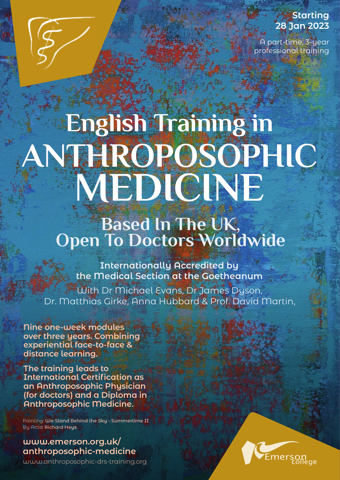# **Starting 28 Jan 2023**

A part-time, 3-year professional training

# **English Training in ANTHROPOSOPHIC MEDICINE**

# **Based In The UK, Open To Doctors Worldwide**

**Internationally Accredited by the Medical Section at the Goetheanum**

With Dr Michael Evans, Dr James Dyson, Dr. Matthias Girke, Anna Hubbard & Prof. David Martin,

**Nine one-week modules over three years. Combining experiential face-to-face & distance learning.**

**The training leads to International Certification as an Anthroposophic Physician (for doctors) and a Diploma in Anthroposophic Medicine.**

Painting: **We Stand Behind the Sky - Summertime II** By Artist **Richard Heys**

### **www.emerson.org.uk/ [anthroposophic-medicine](https://emerson.org.uk/anthroposophic-medicine/)**

www.anthroposophic-drs-training.org